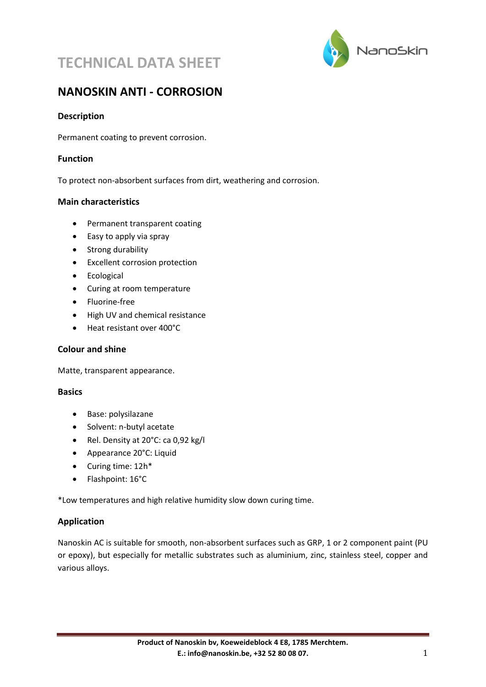



## **NANOSKIN ANTI - CORROSION**

## **Description**

Permanent coating to prevent corrosion.

### **Function**

To protect non-absorbent surfaces from dirt, weathering and corrosion.

### **Main characteristics**

- Permanent transparent coating
- Easy to apply via spray
- Strong durability
- Excellent corrosion protection
- Ecological
- Curing at room temperature
- Fluorine-free
- High UV and chemical resistance
- Heat resistant over 400°C

### **Colour and shine**

Matte, transparent appearance.

#### **Basics**

- Base: polysilazane
- Solvent: n-butyl acetate
- Rel. Density at 20°C: ca 0,92 kg/l
- Appearance 20°C: Liquid
- Curing time: 12h\*
- Flashpoint: 16°C

\*Low temperatures and high relative humidity slow down curing time.

### **Application**

Nanoskin AC is suitable for smooth, non-absorbent surfaces such as GRP, 1 or 2 component paint (PU or epoxy), but especially for metallic substrates such as aluminium, zinc, stainless steel, copper and various alloys.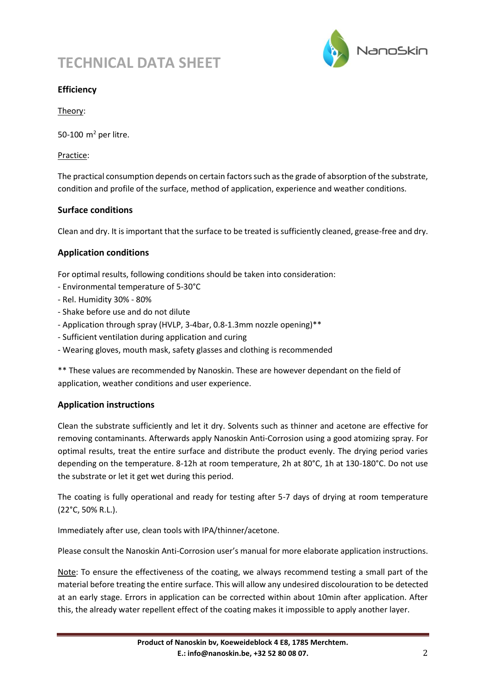## **TECHNICAL DATA SHEET**



## **Efficiency**

Theory:

50-100  $m<sup>2</sup>$  per litre.

Practice:

The practical consumption depends on certain factors such as the grade of absorption of the substrate, condition and profile of the surface, method of application, experience and weather conditions.

## **Surface conditions**

Clean and dry. It is important that the surface to be treated is sufficiently cleaned, grease-free and dry.

## **Application conditions**

For optimal results, following conditions should be taken into consideration:

- Environmental temperature of 5-30°C
- Rel. Humidity 30% 80%
- Shake before use and do not dilute
- Application through spray (HVLP, 3-4bar, 0.8-1.3mm nozzle opening)\*\*
- Sufficient ventilation during application and curing
- Wearing gloves, mouth mask, safety glasses and clothing is recommended

\*\* These values are recommended by Nanoskin. These are however dependant on the field of application, weather conditions and user experience.

## **Application instructions**

Clean the substrate sufficiently and let it dry. Solvents such as thinner and acetone are effective for removing contaminants. Afterwards apply Nanoskin Anti-Corrosion using a good atomizing spray. For optimal results, treat the entire surface and distribute the product evenly. The drying period varies depending on the temperature. 8-12h at room temperature, 2h at 80°C, 1h at 130-180°C. Do not use the substrate or let it get wet during this period.

The coating is fully operational and ready for testing after 5-7 days of drying at room temperature (22°C, 50% R.L.).

Immediately after use, clean tools with IPA/thinner/acetone.

Please consult the Nanoskin Anti-Corrosion user's manual for more elaborate application instructions.

Note: To ensure the effectiveness of the coating, we always recommend testing a small part of the material before treating the entire surface. This will allow any undesired discolouration to be detected at an early stage. Errors in application can be corrected within about 10min after application. After this, the already water repellent effect of the coating makes it impossible to apply another layer.